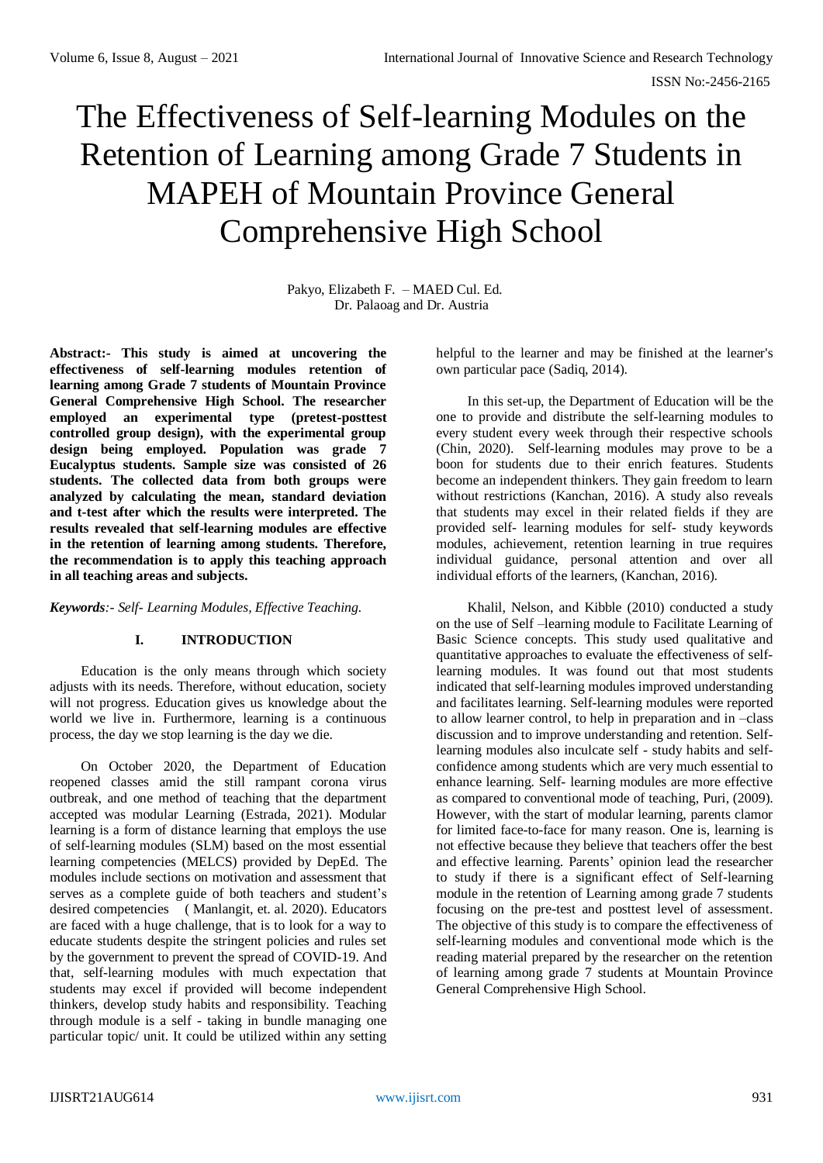# The Effectiveness of Self-learning Modules on the Retention of Learning among Grade 7 Students in MAPEH of Mountain Province General Comprehensive High School

Pakyo, Elizabeth F. – MAED Cul. Ed. Dr. Palaoag and Dr. Austria

**Abstract:- This study is aimed at uncovering the effectiveness of self-learning modules retention of learning among Grade 7 students of Mountain Province General Comprehensive High School. The researcher employed an experimental type (pretest-posttest controlled group design), with the experimental group design being employed. Population was grade 7 Eucalyptus students. Sample size was consisted of 26 students. The collected data from both groups were analyzed by calculating the mean, standard deviation and t-test after which the results were interpreted. The results revealed that self-learning modules are effective in the retention of learning among students. Therefore, the recommendation is to apply this teaching approach in all teaching areas and subjects.** 

## *Keywords:- Self- Learning Modules, Effective Teaching.*

## **I. INTRODUCTION**

Education is the only means through which society adjusts with its needs. Therefore, without education, society will not progress. Education gives us knowledge about the world we live in. Furthermore, learning is a continuous process, the day we stop learning is the day we die.

On October 2020, the Department of Education reopened classes amid the still rampant corona virus outbreak, and one method of teaching that the department accepted was modular Learning (Estrada, 2021). Modular learning is a form of distance learning that employs the use of self-learning modules (SLM) based on the most essential learning competencies (MELCS) provided by DepEd. The modules include sections on motivation and assessment that serves as a complete guide of both teachers and student's desired competencies ( Manlangit, et. al. 2020). Educators are faced with a huge challenge, that is to look for a way to educate students despite the stringent policies and rules set by the government to prevent the spread of COVID-19. And that, self-learning modules with much expectation that students may excel if provided will become independent thinkers, develop study habits and responsibility. Teaching through module is a self - taking in bundle managing one particular topic/ unit. It could be utilized within any setting

helpful to the learner and may be finished at the learner's own particular pace (Sadiq, 2014).

In this set-up, the Department of Education will be the one to provide and distribute the self-learning modules to every student every week through their respective schools (Chin, 2020). Self-learning modules may prove to be a boon for students due to their enrich features. Students become an independent thinkers. They gain freedom to learn without restrictions (Kanchan, 2016). A study also reveals that students may excel in their related fields if they are provided self- learning modules for self- study keywords modules, achievement, retention learning in true requires individual guidance, personal attention and over all individual efforts of the learners, (Kanchan, 2016).

Khalil, Nelson, and Kibble (2010) conducted a study on the use of Self –learning module to Facilitate Learning of Basic Science concepts. This study used qualitative and quantitative approaches to evaluate the effectiveness of selflearning modules. It was found out that most students indicated that self-learning modules improved understanding and facilitates learning. Self-learning modules were reported to allow learner control, to help in preparation and in –class discussion and to improve understanding and retention. Selflearning modules also inculcate self - study habits and selfconfidence among students which are very much essential to enhance learning. Self- learning modules are more effective as compared to conventional mode of teaching, Puri, (2009). However, with the start of modular learning, parents clamor for limited face-to-face for many reason. One is, learning is not effective because they believe that teachers offer the best and effective learning. Parents' opinion lead the researcher to study if there is a significant effect of Self-learning module in the retention of Learning among grade 7 students focusing on the pre-test and posttest level of assessment. The objective of this study is to compare the effectiveness of self-learning modules and conventional mode which is the reading material prepared by the researcher on the retention of learning among grade 7 students at Mountain Province General Comprehensive High School.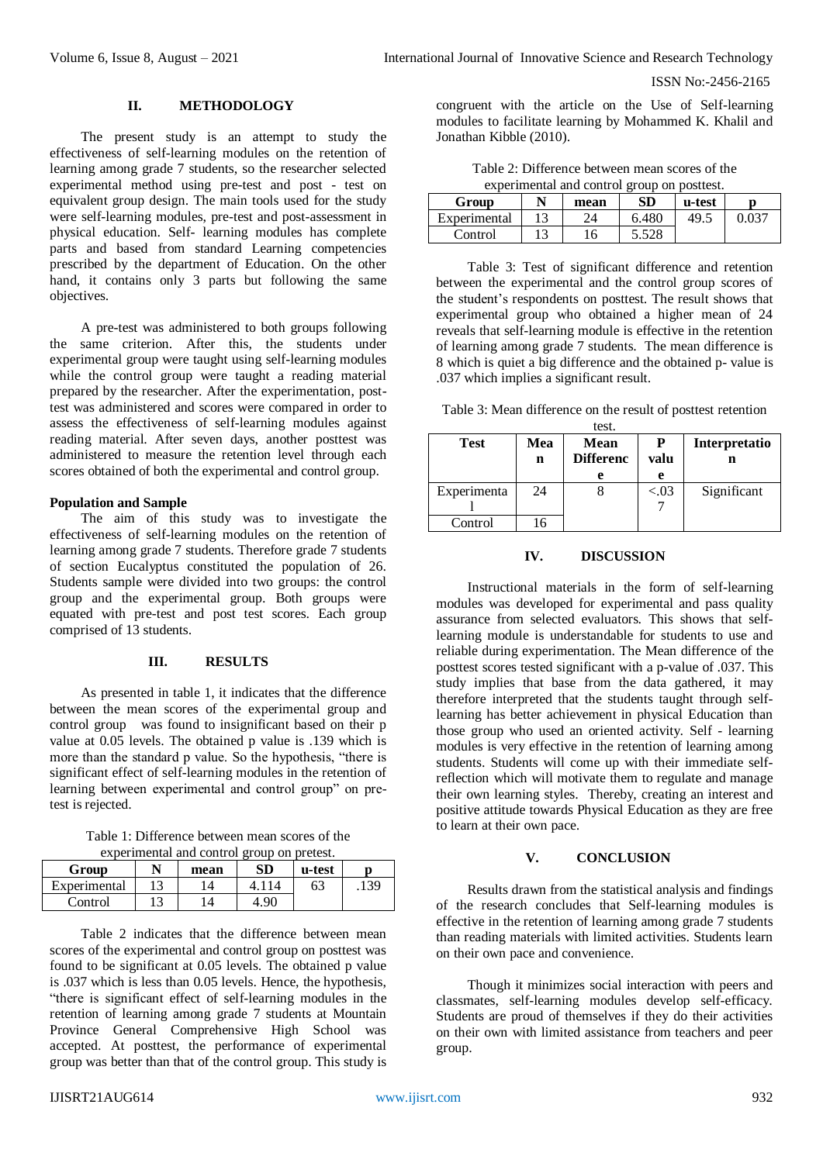ISSN No:-2456-2165

#### **II. METHODOLOGY**

The present study is an attempt to study the effectiveness of self-learning modules on the retention of learning among grade 7 students, so the researcher selected experimental method using pre-test and post - test on equivalent group design. The main tools used for the study were self-learning modules, pre-test and post-assessment in physical education. Self- learning modules has complete parts and based from standard Learning competencies prescribed by the department of Education. On the other hand, it contains only 3 parts but following the same objectives.

A pre-test was administered to both groups following the same criterion. After this, the students under experimental group were taught using self-learning modules while the control group were taught a reading material prepared by the researcher. After the experimentation, posttest was administered and scores were compared in order to assess the effectiveness of self-learning modules against reading material. After seven days, another posttest was administered to measure the retention level through each scores obtained of both the experimental and control group.

# **Population and Sample**

The aim of this study was to investigate the effectiveness of self-learning modules on the retention of learning among grade 7 students. Therefore grade 7 students of section Eucalyptus constituted the population of 26. Students sample were divided into two groups: the control group and the experimental group. Both groups were equated with pre-test and post test scores. Each group comprised of 13 students.

#### **III. RESULTS**

As presented in table 1, it indicates that the difference between the mean scores of the experimental group and control group was found to insignificant based on their p value at 0.05 levels. The obtained p value is .139 which is more than the standard p value. So the hypothesis, "there is significant effect of self-learning modules in the retention of learning between experimental and control group" on pretest is rejected.

Table 1: Difference between mean scores of the experimental and control group on pretest.

| <u>experimental and control group on pretest.</u> |    |      |      |        |      |
|---------------------------------------------------|----|------|------|--------|------|
| Group                                             |    | mean | SD   | u-test |      |
| Experimental                                      | 12 |      |      | 63     | .139 |
| Control                                           | 12 |      | 1.90 |        |      |

Table 2 indicates that the difference between mean scores of the experimental and control group on posttest was found to be significant at 0.05 levels. The obtained p value is .037 which is less than 0.05 levels. Hence, the hypothesis, "there is significant effect of self-learning modules in the retention of learning among grade 7 students at Mountain Province General Comprehensive High School was accepted. At posttest, the performance of experimental group was better than that of the control group. This study is

congruent with the article on the Use of Self-learning modules to facilitate learning by Mohammed K. Khalil and Jonathan Kibble (2010).

| Table 2: Difference between mean scores of the |
|------------------------------------------------|
| experimental and control group on posttest.    |

| experimental and control group on postlest. |    |      |       |        |       |
|---------------------------------------------|----|------|-------|--------|-------|
| Group                                       |    | mean | SD    | u-test |       |
| Experimental                                | 12 | 24   | 6.480 | 49.5   | 0.037 |
| Control                                     | 12 | 16   | 5.528 |        |       |

Table 3: Test of significant difference and retention between the experimental and the control group scores of the student's respondents on posttest. The result shows that experimental group who obtained a higher mean of 24 reveals that self-learning module is effective in the retention of learning among grade 7 students. The mean difference is 8 which is quiet a big difference and the obtained p- value is .037 which implies a significant result.

| Table 3: Mean difference on the result of posttest retention |  |  |
|--------------------------------------------------------------|--|--|
|--------------------------------------------------------------|--|--|

| test.       |     |                  |         |               |  |
|-------------|-----|------------------|---------|---------------|--|
| Test        | Mea | Mean             |         | Interpretatio |  |
|             | n   | <b>Differenc</b> | valu    | n             |  |
|             |     | e                | е       |               |  |
| Experimenta | 24  |                  | ${<}03$ | Significant   |  |
|             |     |                  |         |               |  |
| Control     | 16  |                  |         |               |  |

## **IV. DISCUSSION**

Instructional materials in the form of self-learning modules was developed for experimental and pass quality assurance from selected evaluators. This shows that selflearning module is understandable for students to use and reliable during experimentation. The Mean difference of the posttest scores tested significant with a p-value of .037. This study implies that base from the data gathered, it may therefore interpreted that the students taught through selflearning has better achievement in physical Education than those group who used an oriented activity. Self - learning modules is very effective in the retention of learning among students. Students will come up with their immediate selfreflection which will motivate them to regulate and manage their own learning styles. Thereby, creating an interest and positive attitude towards Physical Education as they are free to learn at their own pace.

# **V. CONCLUSION**

Results drawn from the statistical analysis and findings of the research concludes that Self-learning modules is effective in the retention of learning among grade 7 students than reading materials with limited activities. Students learn on their own pace and convenience.

Though it minimizes social interaction with peers and classmates, self-learning modules develop self-efficacy. Students are proud of themselves if they do their activities on their own with limited assistance from teachers and peer group.